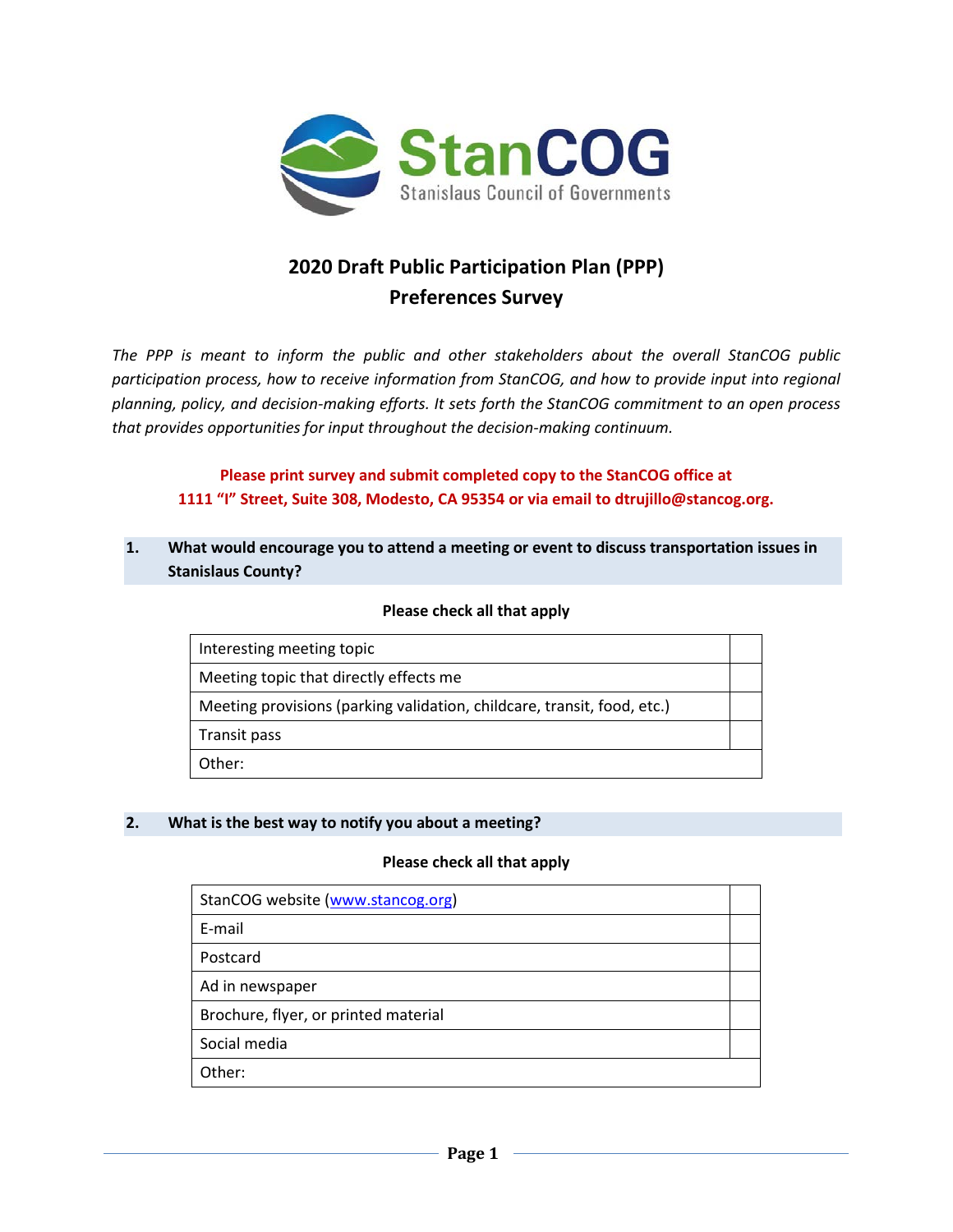

# **2020 Draft Public Participation Plan (PPP) Preferences Survey**

*The PPP is meant to inform the public and other stakeholders about the overall StanCOG public participation process, how to receive information from StanCOG, and how to provide input into regional planning, policy, and decision-making efforts. It sets forth the StanCOG commitment to an open process that provides opportunities for input throughout the decision-making continuum.*

**Please print survey and submit completed copy to the StanCOG office at 1111 "I" Street, Suite 308, Modesto, CA 95354 or via email to dtrujillo@stancog.org.**

**1. What would encourage you to attend a meeting or event to discuss transportation issues in Stanislaus County?**

| Interesting meeting topic                                               |  |
|-------------------------------------------------------------------------|--|
| Meeting topic that directly effects me                                  |  |
| Meeting provisions (parking validation, childcare, transit, food, etc.) |  |
| Transit pass                                                            |  |
| Other:                                                                  |  |

# **Please check all that apply**

#### **2. What is the best way to notify you about a meeting?**

#### **Please check all that apply**

| StanCOG website (www.stancog.org)    |  |
|--------------------------------------|--|
| E-mail                               |  |
| Postcard                             |  |
| Ad in newspaper                      |  |
| Brochure, flyer, or printed material |  |
| Social media                         |  |
| Other:                               |  |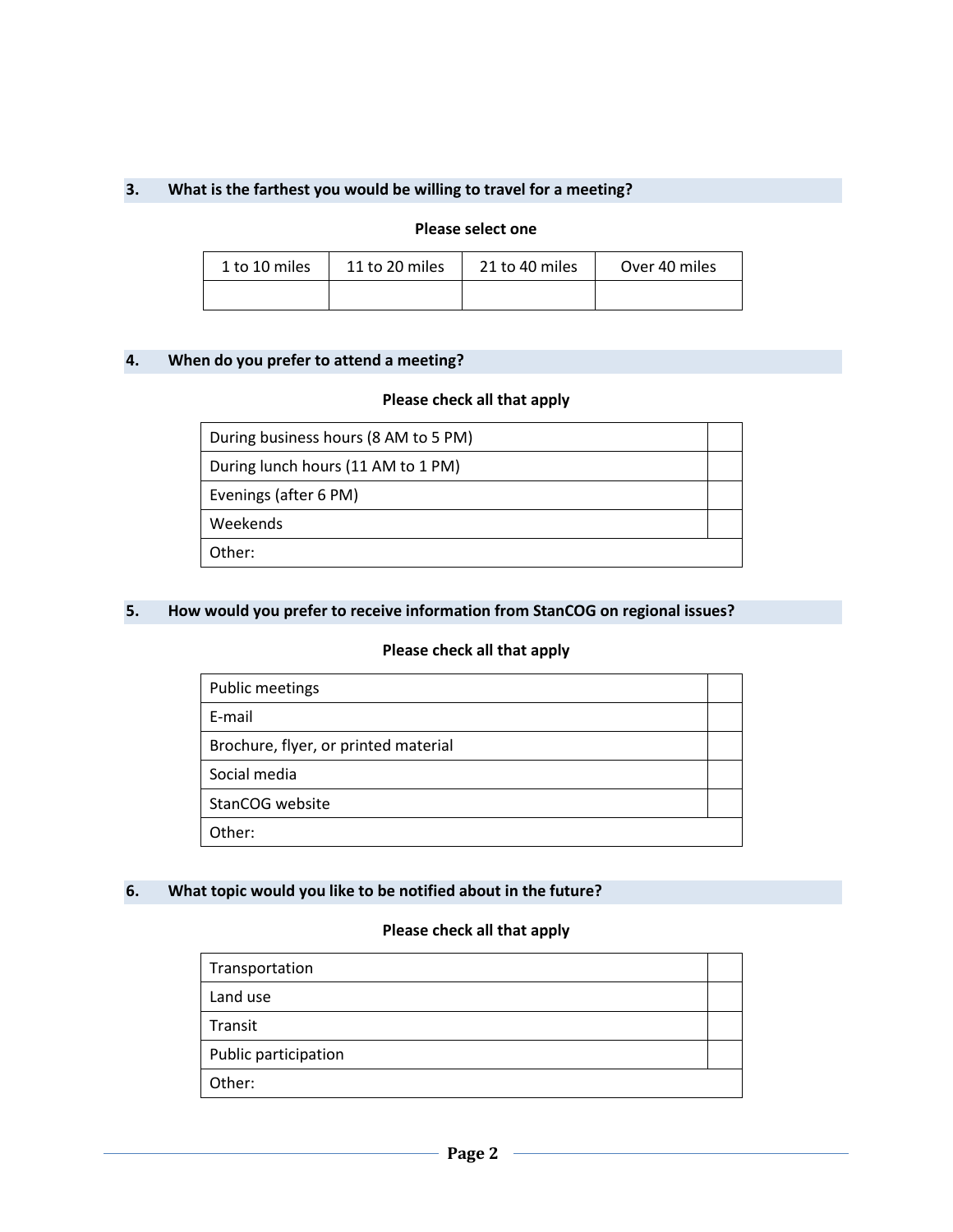## **3. What is the farthest you would be willing to travel for a meeting?**

#### **Please select one**

| 11 to 20 miles<br>1 to 10 miles |  | 21 to 40 miles | Over 40 miles |
|---------------------------------|--|----------------|---------------|
|                                 |  |                |               |

# **4. When do you prefer to attend a meeting?**

## **Please check all that apply**

| During business hours (8 AM to 5 PM) |  |
|--------------------------------------|--|
| During lunch hours (11 AM to 1 PM)   |  |
| Evenings (after 6 PM)                |  |
| Weekends                             |  |
| Other:                               |  |

# **5. How would you prefer to receive information from StanCOG on regional issues?**

#### **Please check all that apply**

| <b>Public meetings</b>               |  |
|--------------------------------------|--|
| E-mail                               |  |
| Brochure, flyer, or printed material |  |
| Social media                         |  |
| StanCOG website                      |  |
| Other:                               |  |

## **6. What topic would you like to be notified about in the future?**

## **Please check all that apply**

| Transportation       |  |
|----------------------|--|
| Land use             |  |
| Transit              |  |
| Public participation |  |
| Other:               |  |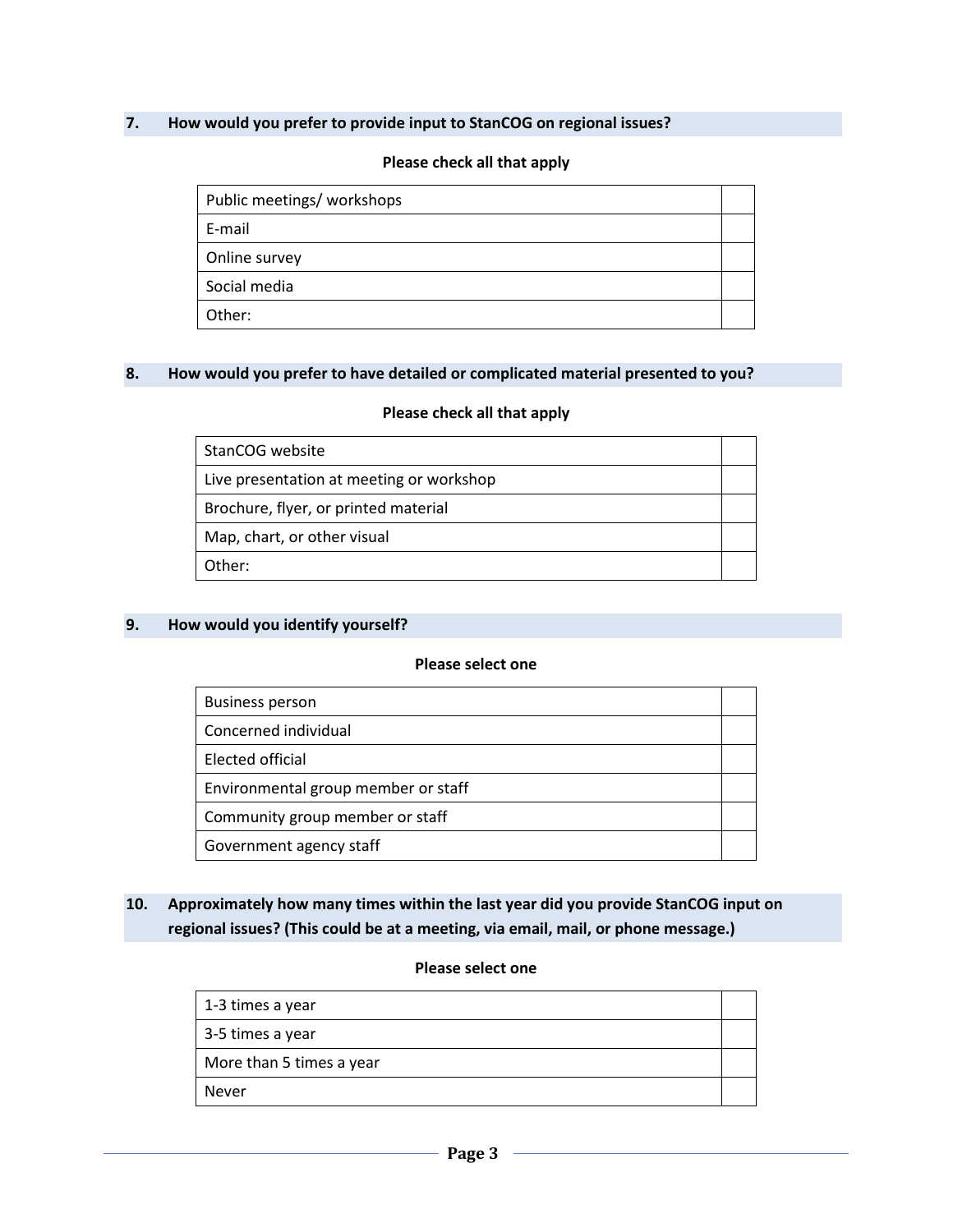## **7. How would you prefer to provide input to StanCOG on regional issues?**

#### **Please check all that apply**

| Public meetings/ workshops |  |
|----------------------------|--|
| E-mail                     |  |
| Online survey              |  |
| Social media               |  |
| Other:                     |  |

#### **8. How would you prefer to have detailed or complicated material presented to you?**

#### **Please check all that apply**

| StanCOG website                          |  |
|------------------------------------------|--|
| Live presentation at meeting or workshop |  |
| Brochure, flyer, or printed material     |  |
| Map, chart, or other visual              |  |
| Other:                                   |  |

#### **9. How would you identify yourself?**

## **Please select one**

| <b>Business person</b>              |  |
|-------------------------------------|--|
| Concerned individual                |  |
| Elected official                    |  |
| Environmental group member or staff |  |
| Community group member or staff     |  |
| Government agency staff             |  |

# **10. Approximately how many times within the last year did you provide StanCOG input on regional issues? (This could be at a meeting, via email, mail, or phone message.)**

## **Please select one**

| 1-3 times a year         |  |
|--------------------------|--|
| 3-5 times a year         |  |
| More than 5 times a year |  |
| <b>Never</b>             |  |